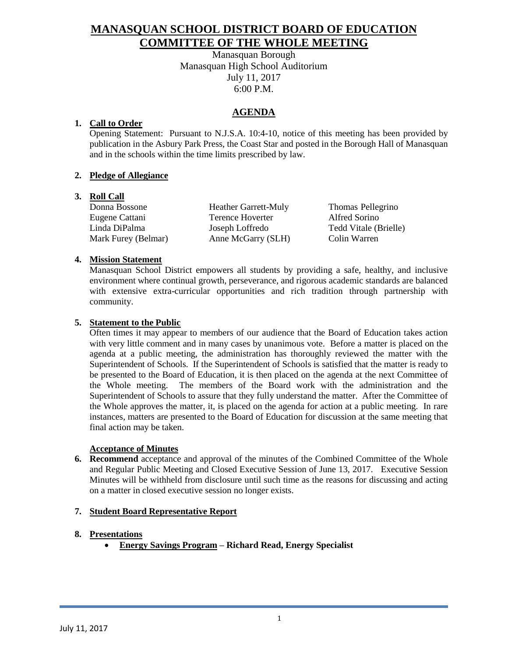# **MANASQUAN SCHOOL DISTRICT BOARD OF EDUCATION COMMITTEE OF THE WHOLE MEETING**

Manasquan Borough Manasquan High School Auditorium July 11, 2017 6:00 P.M.

## **AGENDA**

### **1. Call to Order**

Opening Statement: Pursuant to N.J.S.A. 10:4-10, notice of this meeting has been provided by publication in the Asbury Park Press, the Coast Star and posted in the Borough Hall of Manasquan and in the schools within the time limits prescribed by law.

### **2. Pledge of Allegiance**

#### **3. Roll Call**

Donna Bossone Heather Garrett-Muly Thomas Pellegrino Eugene Cattani Terence Hoverter Alfred Sorino Linda DiPalma Joseph Loffredo Tedd Vitale (Brielle) Mark Furey (Belmar) Anne McGarry (SLH) Colin Warren

### **4. Mission Statement**

Manasquan School District empowers all students by providing a safe, healthy, and inclusive environment where continual growth, perseverance, and rigorous academic standards are balanced with extensive extra-curricular opportunities and rich tradition through partnership with community.

#### **5. Statement to the Public**

Often times it may appear to members of our audience that the Board of Education takes action with very little comment and in many cases by unanimous vote. Before a matter is placed on the agenda at a public meeting, the administration has thoroughly reviewed the matter with the Superintendent of Schools. If the Superintendent of Schools is satisfied that the matter is ready to be presented to the Board of Education, it is then placed on the agenda at the next Committee of the Whole meeting. The members of the Board work with the administration and the Superintendent of Schools to assure that they fully understand the matter. After the Committee of the Whole approves the matter, it, is placed on the agenda for action at a public meeting. In rare instances, matters are presented to the Board of Education for discussion at the same meeting that final action may be taken.

#### **Acceptance of Minutes**

**6. Recommend** acceptance and approval of the minutes of the Combined Committee of the Whole and Regular Public Meeting and Closed Executive Session of June 13, 2017. Executive Session Minutes will be withheld from disclosure until such time as the reasons for discussing and acting on a matter in closed executive session no longer exists.

#### **7. Student Board Representative Report**

#### **8. Presentations**

**Energy Savings Program – Richard Read, Energy Specialist**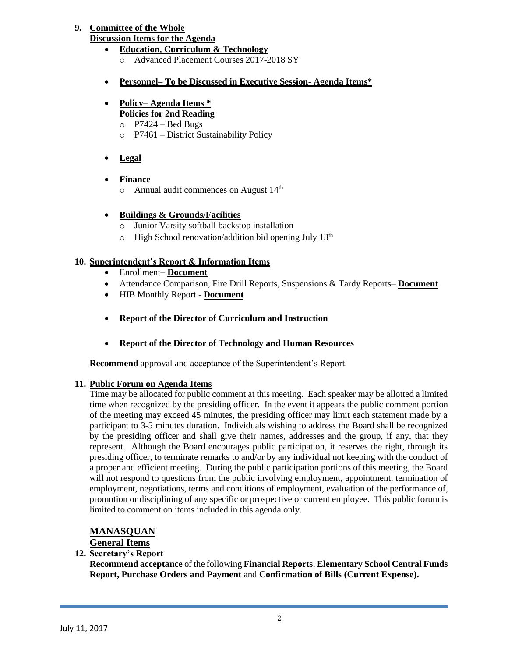# **9. Committee of the Whole**

# **Discussion Items for the Agenda**

- **Education, Curriculum & Technology** o Advanced Placement Courses 2017-2018 SY
- **Personnel– To be Discussed in Executive Session- Agenda Items\***
- **Policy– Agenda Items \* Policies for 2nd Reading**
	- $O$  P7424 Bed Bugs
	- o P7461 District Sustainability Policy
- **Legal**
- **Finance**
	- o Annual audit commences on August 14th

# **Buildings & Grounds/Facilities**

- o Junior Varsity softball backstop installation
- $\circ$  High School renovation/addition bid opening July 13<sup>th</sup>

## **10. Superintendent's Report & Information Items**

- Enrollment– **Document**
- Attendance Comparison, Fire Drill Reports, Suspensions & Tardy Reports– **Document**
- HIB Monthly Report **Document**
- **Report of the Director of Curriculum and Instruction**
- **Report of the Director of Technology and Human Resources**

**Recommend** approval and acceptance of the Superintendent's Report.

# **11. Public Forum on Agenda Items**

Time may be allocated for public comment at this meeting. Each speaker may be allotted a limited time when recognized by the presiding officer. In the event it appears the public comment portion of the meeting may exceed 45 minutes, the presiding officer may limit each statement made by a participant to 3-5 minutes duration. Individuals wishing to address the Board shall be recognized by the presiding officer and shall give their names, addresses and the group, if any, that they represent. Although the Board encourages public participation, it reserves the right, through its presiding officer, to terminate remarks to and/or by any individual not keeping with the conduct of a proper and efficient meeting. During the public participation portions of this meeting, the Board will not respond to questions from the public involving employment, appointment, termination of employment, negotiations, terms and conditions of employment, evaluation of the performance of, promotion or disciplining of any specific or prospective or current employee. This public forum is limited to comment on items included in this agenda only.

# **MANASQUAN**

## **General Items**

## **12. Secretary's Report**

**Recommend acceptance** of the following **Financial Reports**, **Elementary School Central Funds Report, Purchase Orders and Payment** and **Confirmation of Bills (Current Expense).**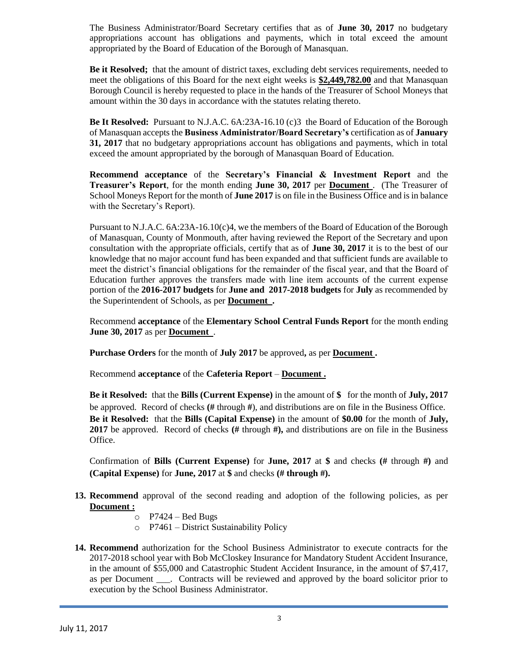The Business Administrator/Board Secretary certifies that as of **June 30, 2017** no budgetary appropriations account has obligations and payments, which in total exceed the amount appropriated by the Board of Education of the Borough of Manasquan.

**Be it Resolved;** that the amount of district taxes, excluding debt services requirements, needed to meet the obligations of this Board for the next eight weeks is **\$2,449,782.00** and that Manasquan Borough Council is hereby requested to place in the hands of the Treasurer of School Moneys that amount within the 30 days in accordance with the statutes relating thereto.

**Be It Resolved:** Pursuant to N.J.A.C. 6A:23A-16.10 (c)3 the Board of Education of the Borough of Manasquan accepts the **Business Administrator/Board Secretary's** certification as of **January 31, 2017** that no budgetary appropriations account has obligations and payments, which in total exceed the amount appropriated by the borough of Manasquan Board of Education.

**Recommend acceptance** of the **Secretary's Financial & Investment Report** and the **Treasurer's Report**, for the month ending **June 30, 2017** per **Document** . (The Treasurer of School Moneys Report for the month of **June 2017** is on file in the Business Office and is in balance with the Secretary's Report).

Pursuant to N.J.A.C. 6A:23A-16.10(c)4, we the members of the Board of Education of the Borough of Manasquan, County of Monmouth, after having reviewed the Report of the Secretary and upon consultation with the appropriate officials, certify that as of **June 30, 2017** it is to the best of our knowledge that no major account fund has been expanded and that sufficient funds are available to meet the district's financial obligations for the remainder of the fiscal year, and that the Board of Education further approves the transfers made with line item accounts of the current expense portion of the **2016-2017 budgets** for **June and 2017-2018 budgets** for **July** as recommended by the Superintendent of Schools, as per **Document .**

Recommend **acceptance** of the **Elementary School Central Funds Report** for the month ending **June 30, 2017** as per **Document** .

**Purchase Orders** for the month of **July 2017** be approved**,** as per **Document .**

Recommend **acceptance** of the **Cafeteria Report** – **Document .**

**Be it Resolved:** that the **Bills (Current Expense)** in the amount of **\$** for the month of **July, 2017** be approved. Record of checks **(#** through **#**), and distributions are on file in the Business Office. **Be it Resolved:** that the **Bills (Capital Expense)** in the amount of **\$0.00** for the month of **July, 2017** be approved. Record of checks **(#** through **#),** and distributions are on file in the Business Office.

Confirmation of **Bills (Current Expense)** for **June, 2017** at **\$** and checks **(#** through **#)** and **(Capital Expense)** for **June, 2017** at **\$** and checks **(# through #).**

- **13. Recommend** approval of the second reading and adoption of the following policies, as per **Document :**
	- $O$  P7424 Bed Bugs
	- o P7461 District Sustainability Policy
- **14. Recommend** authorization for the School Business Administrator to execute contracts for the 2017-2018 school year with Bob McCloskey Insurance for Mandatory Student Accident Insurance, in the amount of \$55,000 and Catastrophic Student Accident Insurance, in the amount of \$7,417, as per Document \_\_\_. Contracts will be reviewed and approved by the board solicitor prior to execution by the School Business Administrator.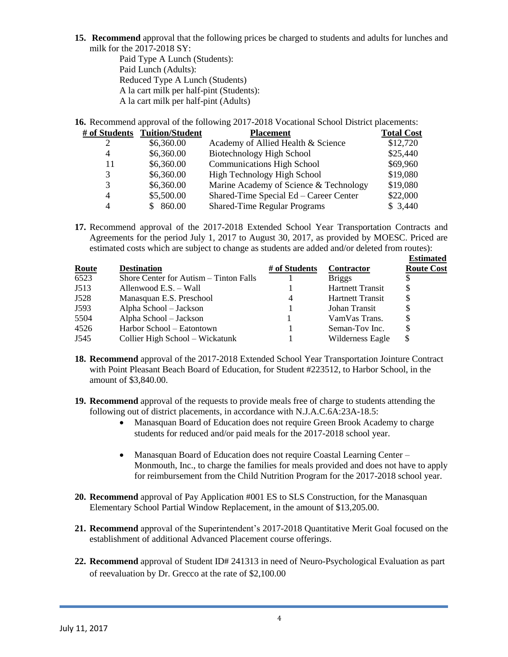**15. Recommend** approval that the following prices be charged to students and adults for lunches and milk for the 2017-2018 SY:

Paid Type A Lunch (Students): Paid Lunch (Adults): Reduced Type A Lunch (Students) A la cart milk per half-pint (Students): A la cart milk per half-pint (Adults)

**16.** Recommend approval of the following 2017-2018 Vocational School District placements:

|    | # of Students Tuition/Student | <b>Placement</b>                       | <b>Total Cost</b> |
|----|-------------------------------|----------------------------------------|-------------------|
|    | \$6,360.00                    | Academy of Allied Health & Science     | \$12,720          |
| 4  | \$6,360.00                    | Biotechnology High School              | \$25,440          |
| 11 | \$6,360.00                    | <b>Communications High School</b>      | \$69,960          |
| 3  | \$6,360.00                    | High Technology High School            | \$19,080          |
| 3  | \$6,360.00                    | Marine Academy of Science & Technology | \$19,080          |
| 4  | \$5,500.00                    | Shared-Time Special Ed – Career Center | \$22,000          |
| 4  | 860.00<br>SS.                 | <b>Shared-Time Regular Programs</b>    | \$3,440           |

**17.** Recommend approval of the 2017-2018 Extended School Year Transportation Contracts and Agreements for the period July 1, 2017 to August 30, 2017, as provided by MOESC. Priced are estimated costs which are subject to change as students are added and/or deleted from routes):

|              |                                        |               |                         | <b>Estimated</b>  |
|--------------|----------------------------------------|---------------|-------------------------|-------------------|
| <b>Route</b> | <b>Destination</b>                     | # of Students | Contractor              | <b>Route Cost</b> |
| 6523         | Shore Center for Autism – Tinton Falls |               | <b>Briggs</b>           |                   |
| J513         | Allenwood E.S. - Wall                  |               | <b>Hartnett Transit</b> | S                 |
| J528         | Manasquan E.S. Preschool               |               | <b>Hartnett Transit</b> |                   |
| J593         | Alpha School – Jackson                 |               | Johan Transit           |                   |
| 5504         | Alpha School - Jackson                 |               | VamVas Trans.           |                   |
| 4526         | Harbor School – Eatontown              |               | Seman-Tov Inc.          |                   |
| J545         | Collier High School - Wickatunk        |               | Wilderness Eagle        | S                 |

- **18. Recommend** approval of the 2017-2018 Extended School Year Transportation Jointure Contract with Point Pleasant Beach Board of Education, for Student #223512, to Harbor School, in the amount of \$3,840.00.
- **19. Recommend** approval of the requests to provide meals free of charge to students attending the following out of district placements, in accordance with N.J.A.C.6A:23A-18.5:
	- Manasquan Board of Education does not require Green Brook Academy to charge students for reduced and/or paid meals for the 2017-2018 school year.
	- Manasquan Board of Education does not require Coastal Learning Center Monmouth, Inc., to charge the families for meals provided and does not have to apply for reimbursement from the Child Nutrition Program for the 2017-2018 school year.
- **20. Recommend** approval of Pay Application #001 ES to SLS Construction, for the Manasquan Elementary School Partial Window Replacement, in the amount of \$13,205.00.
- **21. Recommend** approval of the Superintendent's 2017-2018 Quantitative Merit Goal focused on the establishment of additional Advanced Placement course offerings.
- **22. Recommend** approval of Student ID# 241313 in need of Neuro-Psychological Evaluation as part of reevaluation by Dr. Grecco at the rate of \$2,100.00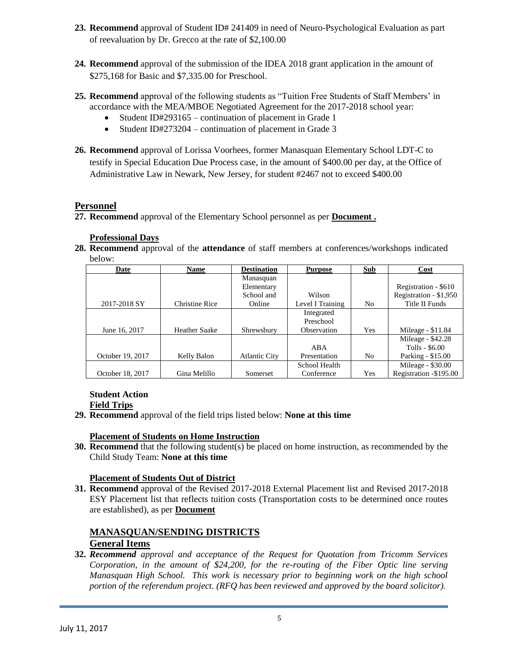- **23. Recommend** approval of Student ID# 241409 in need of Neuro-Psychological Evaluation as part of reevaluation by Dr. Grecco at the rate of \$2,100.00
- **24. Recommend** approval of the submission of the IDEA 2018 grant application in the amount of \$275,168 for Basic and \$7,335.00 for Preschool.
- **25. Recommend** approval of the following students as "Tuition Free Students of Staff Members' in accordance with the MEA/MBOE Negotiated Agreement for the 2017-2018 school year:
	- Student ID#293165 continuation of placement in Grade 1
	- Student ID#273204 continuation of placement in Grade 3
- **26. Recommend** approval of Lorissa Voorhees, former Manasquan Elementary School LDT-C to testify in Special Education Due Process case, in the amount of \$400.00 per day, at the Office of Administrative Law in Newark, New Jersey, for student #2467 not to exceed \$400.00

### **Personnel**

**27. Recommend** approval of the Elementary School personnel as per **Document .**

#### **Professional Days**

**28. Recommend** approval of the **attendance** of staff members at conferences/workshops indicated below:

| Date             | <b>Name</b>           | <b>Destination</b>   | <b>Purpose</b>   | Sub            | Cost                   |
|------------------|-----------------------|----------------------|------------------|----------------|------------------------|
|                  |                       | Manasquan            |                  |                |                        |
|                  |                       | Elementary           |                  |                | Registration - \$610   |
|                  |                       | School and           | Wilson           |                | Registration - \$1,950 |
| 2017-2018 SY     | <b>Christine Rice</b> | Online               | Level I Training | No.            | Title II Funds         |
|                  |                       |                      | Integrated       |                |                        |
|                  |                       |                      | Preschool        |                |                        |
| June 16, 2017    | <b>Heather Saake</b>  | Shrewsbury           | Observation      | Yes            | Mileage - \$11.84      |
|                  |                       |                      |                  |                | Mileage - \$42.28      |
|                  |                       |                      | ABA              |                | Tolls - \$6.00         |
| October 19, 2017 | Kelly Balon           | <b>Atlantic City</b> | Presentation     | N <sub>0</sub> | Parking - \$15.00      |
|                  |                       |                      | School Health    |                | Mileage - \$30.00      |
| October 18, 2017 | Gina Melillo          | Somerset             | Conference       | Yes            | Registration -\$195.00 |

#### **Student Action Field Trips**

**29. Recommend** approval of the field trips listed below: **None at this time**

#### **Placement of Students on Home Instruction**

**30. Recommend** that the following student(s) be placed on home instruction, as recommended by the Child Study Team: **None at this time**

#### **Placement of Students Out of District**

**31. Recommend** approval of the Revised 2017-2018 External Placement list and Revised 2017-2018 ESY Placement list that reflects tuition costs (Transportation costs to be determined once routes are established), as per **Document**

#### **MANASQUAN/SENDING DISTRICTS General Items**

**32.** *Recommend approval and acceptance of the Request for Quotation from Tricomm Services Corporation, in the amount of \$24,200, for the re-routing of the Fiber Optic line serving Manasquan High School. This work is necessary prior to beginning work on the high school portion of the referendum project. (RFQ has been reviewed and approved by the board solicitor).*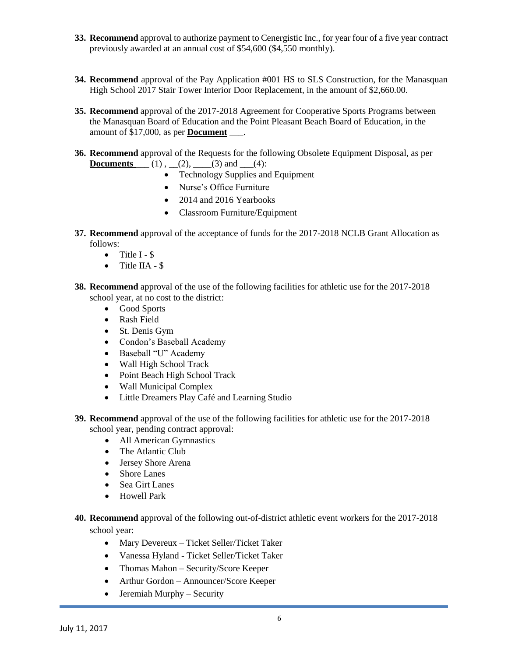- **33. Recommend** approval to authorize payment to Cenergistic Inc., for year four of a five year contract previously awarded at an annual cost of \$54,600 (\$4,550 monthly).
- **34. Recommend** approval of the Pay Application #001 HS to SLS Construction, for the Manasquan High School 2017 Stair Tower Interior Door Replacement, in the amount of \$2,660.00.
- **35. Recommend** approval of the 2017-2018 Agreement for Cooperative Sports Programs between the Manasquan Board of Education and the Point Pleasant Beach Board of Education, in the amount of \$17,000, as per **Document** \_\_\_.
- **36. Recommend** approval of the Requests for the following Obsolete Equipment Disposal, as per **Documents**  $(1)$ ,  $(2)$ ,  $(3)$  and  $(4)$ :
	- Technology Supplies and Equipment
	- Nurse's Office Furniture
	- 2014 and 2016 Yearbooks
	- Classroom Furniture/Equipment
- **37. Recommend** approval of the acceptance of funds for the 2017-2018 NCLB Grant Allocation as follows:
	- $\bullet$  Title I \$
	- Title IIA \$
- **38. Recommend** approval of the use of the following facilities for athletic use for the 2017-2018 school year, at no cost to the district:
	- Good Sports
	- Rash Field
	- St. Denis Gym
	- Condon's Baseball Academy
	- Baseball "U" Academy
	- Wall High School Track
	- Point Beach High School Track
	- Wall Municipal Complex
	- Little Dreamers Play Café and Learning Studio
- **39. Recommend** approval of the use of the following facilities for athletic use for the 2017-2018 school year, pending contract approval:
	- All American Gymnastics
	- The Atlantic Club
	- Jersey Shore Arena
	- Shore Lanes
	- Sea Girt Lanes
	- Howell Park
- **40. Recommend** approval of the following out-of-district athletic event workers for the 2017-2018 school year:
	- Mary Devereux Ticket Seller/Ticket Taker
	- Vanessa Hyland Ticket Seller/Ticket Taker
	- Thomas Mahon Security/Score Keeper
	- Arthur Gordon Announcer/Score Keeper
	- $\bullet$  Jeremiah Murphy Security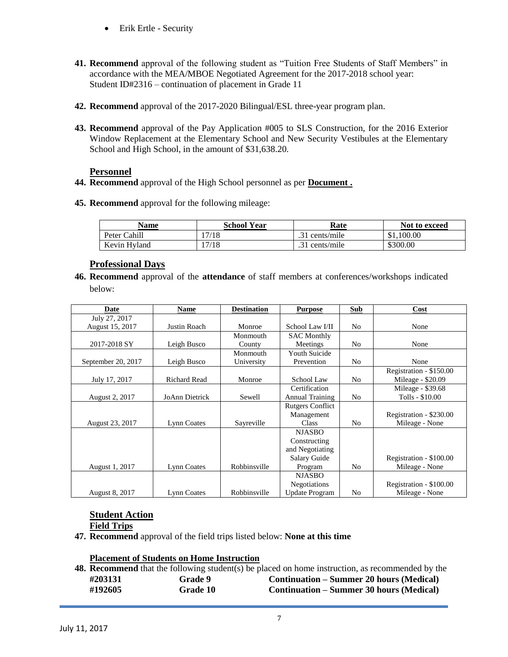- Erik Ertle Security
- **41. Recommend** approval of the following student as "Tuition Free Students of Staff Members" in accordance with the MEA/MBOE Negotiated Agreement for the 2017-2018 school year: Student ID#2316 – continuation of placement in Grade 11
- **42. Recommend** approval of the 2017-2020 Bilingual/ESL three-year program plan.
- **43. Recommend** approval of the Pay Application #005 to SLS Construction, for the 2016 Exterior Window Replacement at the Elementary School and New Security Vestibules at the Elementary School and High School, in the amount of \$31,638.20.

#### **Personnel**

- **44. Recommend** approval of the High School personnel as per **Document .**
- **45. Recommend** approval for the following mileage:

| Name         | School Year | Rate           | Not to exceed |
|--------------|-------------|----------------|---------------|
| Peter Cahill | 17/18       | .31 cents/mile | \$1,100.00    |
| Kevin Hyland | !7/18       | .31 cents/mile | \$300.00      |

### **Professional Days**

**46. Recommend** approval of the **attendance** of staff members at conferences/workshops indicated below:

| Date               | <b>Name</b>         | <b>Destination</b> | <b>Purpose</b>          | Sub            | Cost                    |
|--------------------|---------------------|--------------------|-------------------------|----------------|-------------------------|
| July 27, 2017      |                     |                    |                         |                |                         |
| August 15, 2017    | Justin Roach        | Monroe             | School Law I/II         | N <sub>o</sub> | None                    |
|                    |                     | Monmouth           | <b>SAC Monthly</b>      |                |                         |
| 2017-2018 SY       | Leigh Busco         | County             | Meetings                | N <sub>o</sub> | None                    |
|                    |                     | Monmouth           | <b>Youth Suicide</b>    |                |                         |
| September 20, 2017 | Leigh Busco         | University         | Prevention              | N <sub>o</sub> | None                    |
|                    |                     |                    |                         |                | Registration - \$150.00 |
| July 17, 2017      | <b>Richard Read</b> | Monroe             | School Law              | N <sub>0</sub> | Mileage - $$20.09$      |
|                    |                     |                    | Certification           |                | Mileage - \$39.68       |
| August 2, 2017     | JoAnn Dietrick      | Sewell             | <b>Annual Training</b>  | N <sub>0</sub> | Tolls - \$10.00         |
|                    |                     |                    | <b>Rutgers Conflict</b> |                |                         |
|                    |                     |                    | Management              |                | Registration - \$230.00 |
| August 23, 2017    | Lynn Coates         | Sayreville         | Class                   | N <sub>0</sub> | Mileage - None          |
|                    |                     |                    | <b>NJASBO</b>           |                |                         |
|                    |                     |                    | Constructing            |                |                         |
|                    |                     |                    | and Negotiating         |                |                         |
|                    |                     |                    | Salary Guide            |                | Registration - \$100.00 |
| August 1, 2017     | Lynn Coates         | Robbinsville       | Program                 | N <sub>0</sub> | Mileage - None          |
|                    |                     |                    | <b>NJASBO</b>           |                |                         |
|                    |                     |                    | <b>Negotiations</b>     |                | Registration - \$100.00 |
| August 8, 2017     | Lynn Coates         | Robbinsville       | <b>Update Program</b>   | N <sub>0</sub> | Mileage - None          |

#### **Student Action Field Trips**

**47. Recommend** approval of the field trips listed below: **None at this time**

#### **Placement of Students on Home Instruction**

**48. Recommend** that the following student(s) be placed on home instruction, as recommended by the **#203131 Grade 9 Continuation – Summer 20 hours (Medical) #192605 Grade 10 Continuation – Summer 30 hours (Medical)**